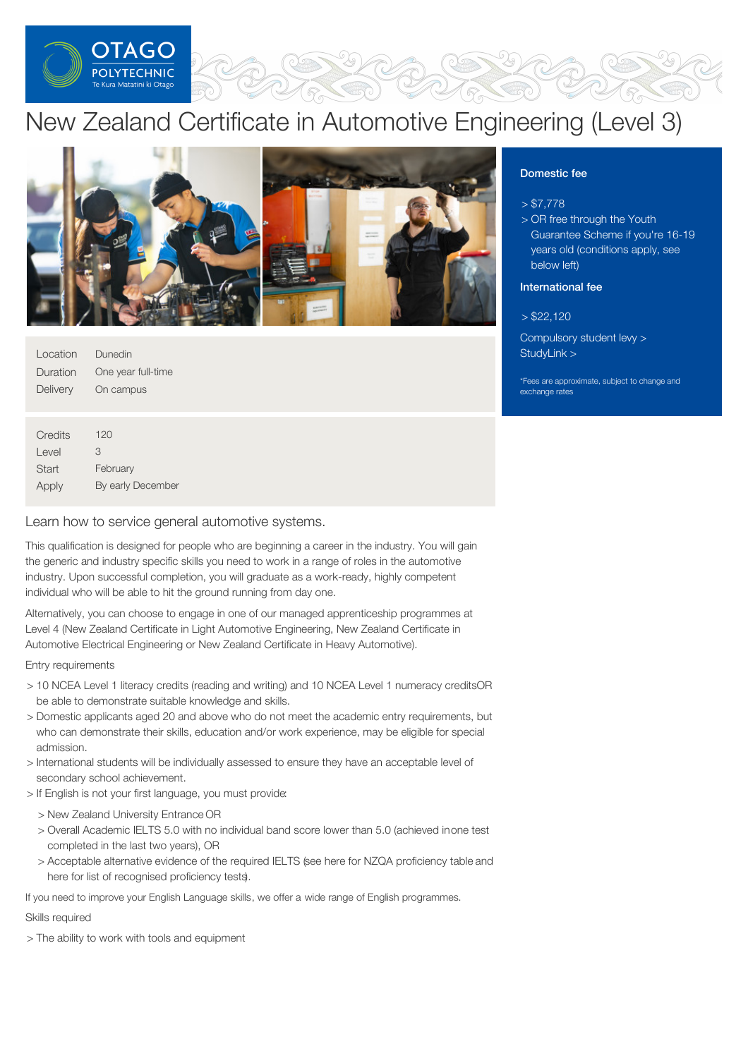

# New Zealand Certificate in Automotive Engineering (Level 3)



| Location | Dunedin            |
|----------|--------------------|
| Duration | One year full-time |
| Delivery | On campus          |
|          |                    |

| Credits | 120               |
|---------|-------------------|
| Level   | З                 |
| Start   | February          |
| Apply   | By early December |

Learn how to service general automotive systems.

This qualification is designed for people who are beginning a career in the industry. You will gain the generic and industry specific skills you need to work in a range of roles in the automotive industry. Upon successful completion, you will graduate as a work-ready, highly competent individual who will be able to hit the ground running from day one.

Alternatively, you can choose to engage in one of our managed apprenticeship programmes at Level 4 (New Zealand Certificate in Light Automotive Engineering, New Zealand Certificate in Automotive Electrical Engineering or New Zealand Certificate in Heavy Automotive).

#### Entry requirements

- > 10 NCEA Level 1 literacy credits (reading and writing) and 10 NCEA Level 1 numeracy creditsOR be able to demonstrate suitable knowledge and skills.
- > Domestic applicants aged 20 and above who do not meet the academic entry requirements, but who can demonstrate their skills, education and/or work experience, may be eligible for special admission.
- > International students will be individually assessed to ensure they have an acceptable level of secondary school achievement.
- > If English is not your first language, you must provide:
	- > New Zealand University Entrance OR
	- > Overall Academic IELTS 5.0 with no individual band score lower than 5.0 (achieved inone test completed in the last two years), OR
	- > Acceptable alternative evidence of the required IELTS (see here for NZQA proficiency table and here for list of recognised proficiency tests).

If you need to improve your English Language skills, we offer a wide range of English programmes.

# Skills required

> The ability to work with tools and equipment

# Domestic fee

### $> $7,778$

> OR free through the Youth Guarantee Scheme if you're 16-19 years old (conditions apply, see below left)

# International fee

 $> $22.120$ 

[Compulsory](https://online.op.ac.nz/students/important-information/student-services-levy/) student levy > [StudyLink](https://www.studylink.govt.nz/)  $>$ 

\*Fees are approximate, subject to change and exchange rates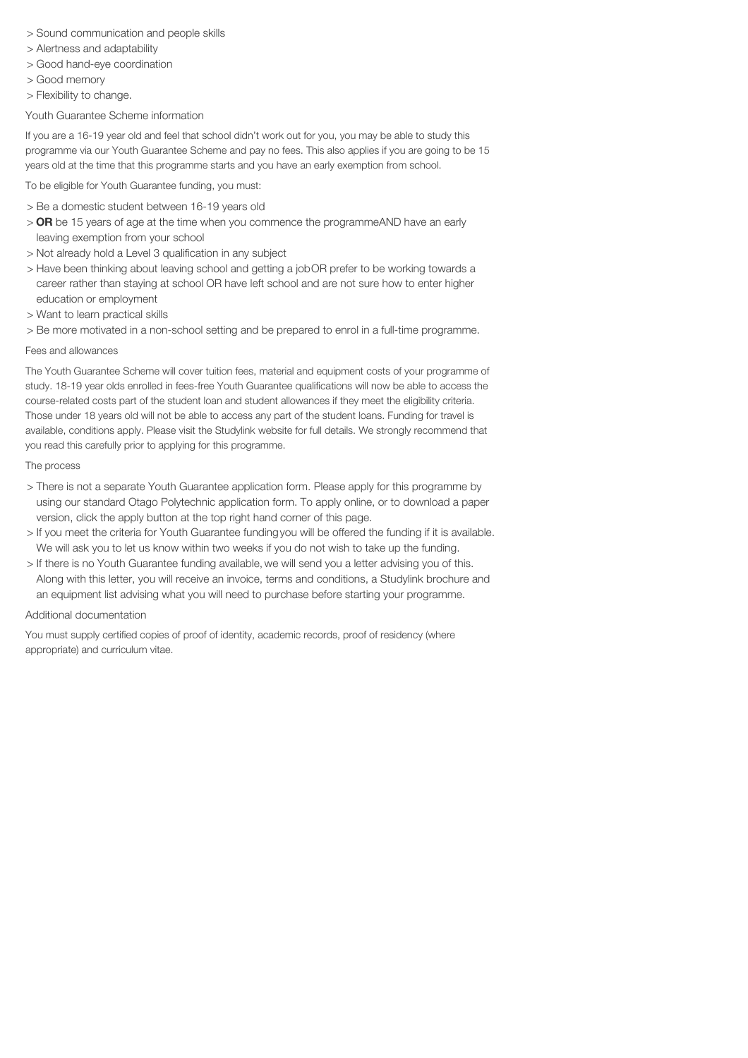- > Sound communication and people skills
- > Alertness and adaptability
- > Good hand-eye coordination
- > Good memory
- > Flexibility to change.

Youth Guarantee Scheme information

If you are a 16-19 year old and feel that school didn't work out for you, you may be able to study this programme via our Youth Guarantee Scheme and pay no fees. This also applies if you are going to be 15 years old at the time that this programme starts and you have an early exemption from school.

To be eligible for Youth Guarantee funding, you must:

- > Be a domestic student between 16-19 years old
- > OR be 15 years of age at the time when you commence the programmeAND have an early leaving exemption from your school
- > Not already hold a Level 3 qualification in any subject
- > Have been thinking about leaving school and getting a jobOR prefer to be working towards a career rather than staying at school OR have left school and are not sure how to enter higher education or employment
- > Want to learn practical skills

> Be more motivated in a non-school setting and be prepared to enrol in a full-time programme.

#### Fees and allowances

The Youth Guarantee Scheme will cover tuition fees, material and equipment costs of your programme of study. 18-19 year olds enrolled in fees-free Youth Guarantee qualifications will now be able to access the course-related costs part of the student loan and student allowances if they meet the eligibility criteria. Those under 18 years old will not be able to access any part of the student loans. Funding for travel is available, conditions apply. Please visit the Studylink website for full details. We strongly recommend that you read this carefully prior to applying for this programme.

#### The process

- > There is not a separate Youth Guarantee application form. Please apply for this programme by using our standard Otago Polytechnic application form. To apply online, or to download a paper version, click the apply button at the top right hand corner of this page.
- > If you meet the criteria for Youth Guarantee fundingyou will be offered the funding if it is available. We will ask you to let us know within two weeks if you do not wish to take up the funding.
- > If there is no Youth Guarantee funding available, we will send you a letter advising you of this. Along with this letter, you will receive an invoice, terms and conditions, a Studylink brochure and an equipment list advising what you will need to purchase before starting your programme.

#### Additional documentation

You must supply certified copies of proof of identity, academic records, proof of residency (where appropriate) and curriculum vitae.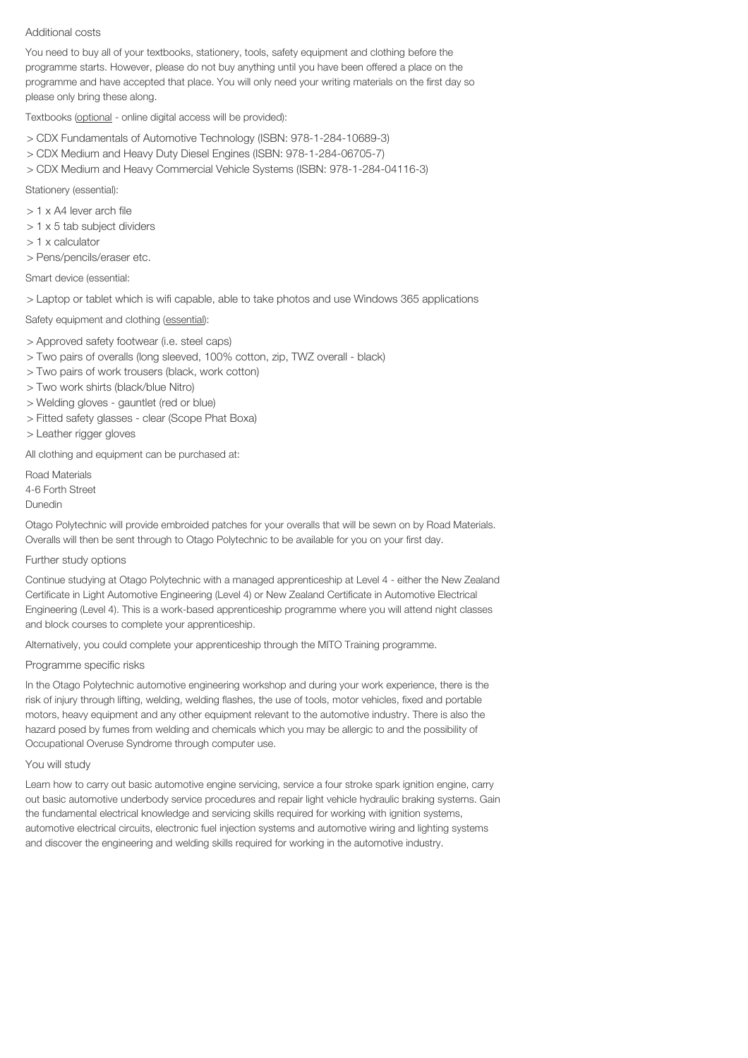#### Additional costs

You need to buy all of your textbooks, stationery, tools, safety equipment and clothing before the programme starts. However, please do not buy anything until you have been offered a place on the programme and have accepted that place. You will only need your writing materials on the first day so please only bring these along.

Textbooks (optional - online digital access will be provided):

- > CDX Fundamentals of Automotive Technology (ISBN: 978-1-284-10689-3)
- > CDX Medium and Heavy Duty Diesel Engines (ISBN: 978-1-284-06705-7)
- > CDX Medium and Heavy Commercial Vehicle Systems (ISBN: 978-1-284-04116-3)

Stationery (essential):

- > 1 x A4 lever arch file
- > 1 x 5 tab subject dividers
- > 1 x calculator
- > Pens/pencils/eraser etc.

Smart device (essential:

> Laptop or tablet which is wifi capable, able to take photos and use Windows 365 applications

Safety equipment and clothing (essential):

- > Approved safety footwear (i.e. steel caps)
- > Two pairs of overalls (long sleeved, 100% cotton, zip, TWZ overall black)
- > Two pairs of work trousers (black, work cotton)
- > Two work shirts (black/blue Nitro)
- > Welding gloves gauntlet (red or blue)
- > Fitted safety glasses clear (Scope Phat Boxa)
- > Leather rigger gloves

All clothing and equipment can be purchased at:

Road Materials 4-6 Forth Street Dunedin

Otago Polytechnic will provide embroided patches for your overalls that will be sewn on by Road Materials. Overalls will then be sent through to Otago Polytechnic to be available for you on your first day.

#### Further study options

Continue studying at Otago Polytechnic with a managed apprenticeship at Level 4 - either the New Zealand Certificate in Light Automotive Engineering (Level 4) or New Zealand Certificate in Automotive Electrical Engineering (Level 4). This is a work-based apprenticeship programme where you will attend night classes and block courses to complete your apprenticeship.

Alternatively, you could complete your apprenticeship through the MITO Training programme.

#### Programme specific risks

In the Otago Polytechnic automotive engineering workshop and during your work experience, there is the risk of injury through lifting, welding, welding flashes, the use of tools, motor vehicles, fixed and portable motors, heavy equipment and any other equipment relevant to the automotive industry. There is also the hazard posed by fumes from welding and chemicals which you may be allergic to and the possibility of Occupational Overuse Syndrome through computer use.

#### You will study

Learn how to carry out basic automotive engine servicing, service a four stroke spark ignition engine, carry out basic automotive underbody service procedures and repair light vehicle hydraulic braking systems. Gain the fundamental electrical knowledge and servicing skills required for working with ignition systems, automotive electrical circuits, electronic fuel injection systems and automotive wiring and lighting systems and discover the engineering and welding skills required for working in the automotive industry.